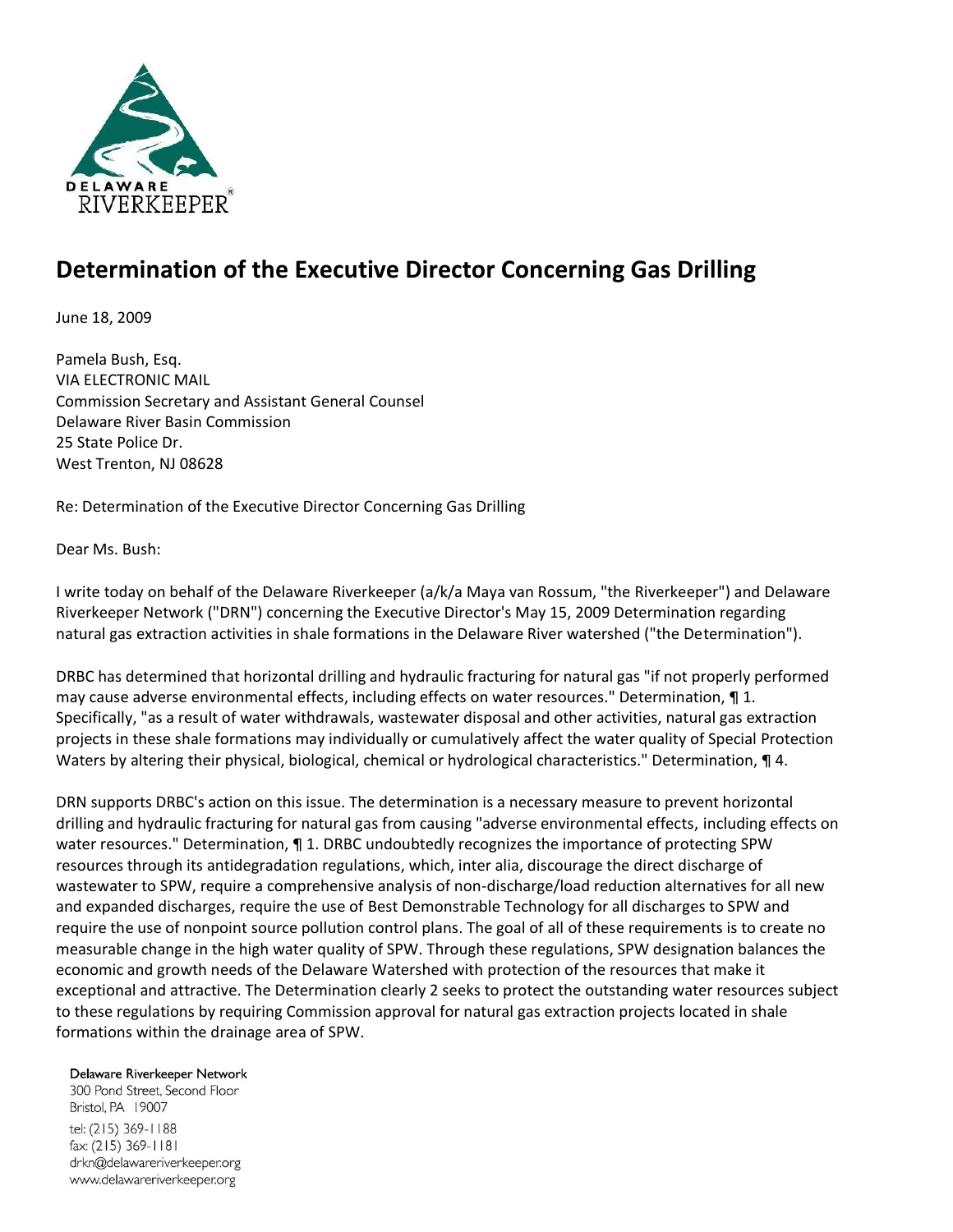

## **Determination of the Executive Director Concerning Gas Drilling**

June 18, 2009

Pamela Bush, Esq. VIA ELECTRONIC MAIL Commission Secretary and Assistant General Counsel Delaware River Basin Commission 25 State Police Dr. West Trenton, NJ 08628

Re: Determination of the Executive Director Concerning Gas Drilling

Dear Ms. Bush:

I write today on behalf of the Delaware Riverkeeper (a/k/a Maya van Rossum, "the Riverkeeper") and Delaware Riverkeeper Network ("DRN") concerning the Executive Director's May 15, 2009 Determination regarding natural gas extraction activities in shale formations in the Delaware River watershed ("the Determination").

DRBC has determined that horizontal drilling and hydraulic fracturing for natural gas "if not properly performed may cause adverse environmental effects, including effects on water resources." Determination, ¶ 1. Specifically, "as a result of water withdrawals, wastewater disposal and other activities, natural gas extraction projects in these shale formations may individually or cumulatively affect the water quality of Special Protection Waters by altering their physical, biological, chemical or hydrological characteristics." Determination, 14.

DRN supports DRBC's action on this issue. The determination is a necessary measure to prevent horizontal drilling and hydraulic fracturing for natural gas from causing "adverse environmental effects, including effects on water resources." Determination, ¶ 1. DRBC undoubtedly recognizes the importance of protecting SPW resources through its antidegradation regulations, which, inter alia, discourage the direct discharge of wastewater to SPW, require a comprehensive analysis of non-discharge/load reduction alternatives for all new and expanded discharges, require the use of Best Demonstrable Technology for all discharges to SPW and require the use of nonpoint source pollution control plans. The goal of all of these requirements is to create no measurable change in the high water quality of SPW. Through these regulations, SPW designation balances the economic and growth needs of the Delaware Watershed with protection of the resources that make it exceptional and attractive. The Determination clearly 2 seeks to protect the outstanding water resources subject to these regulations by requiring Commission approval for natural gas extraction projects located in shale formations within the drainage area of SPW.

Delaware Riverkeeper Network

300 Pond Street, Second Floor Bristol, PA 19007 tel: (215) 369-1188 fax: (215) 369-1181 drkn@delawareriverkeeper.org www.delawareriverkeeper.org